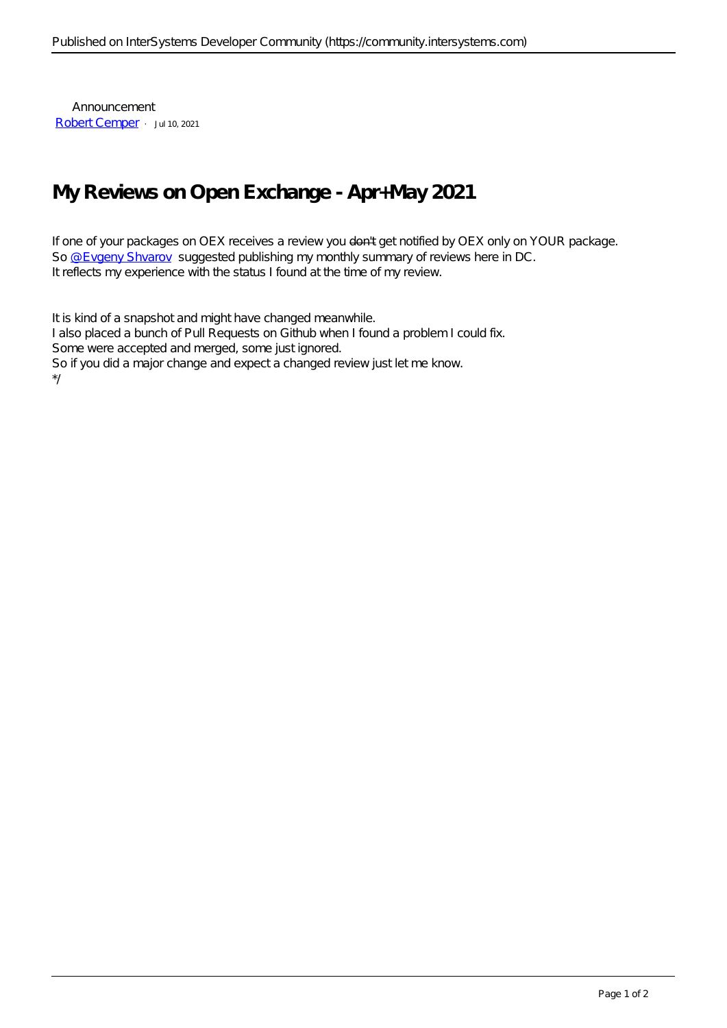Announcement [Robert Cemper](https://community.intersystems.com/user/robert-cemper-0) · Jul 10, 2021

## **My Reviews on Open Exchange - Apr+May 2021**

If one of your packages on OEX receives a review you don't get notified by OEX only on YOUR package. So [@Evgeny Shvarov](https://community.intersystems.com/user/evgeny-shvarov) suggested publishing my monthly summary of reviews here in DC. It reflects my experience with the status I found at the time of my review.

It is kind of a snapshot and might have changed meanwhile. I also placed a bunch of Pull Requests on Github when I found a problem I could fix. Some were accepted and merged, some just ignored. So if you did a major change and expect a changed review just let me know. \*/